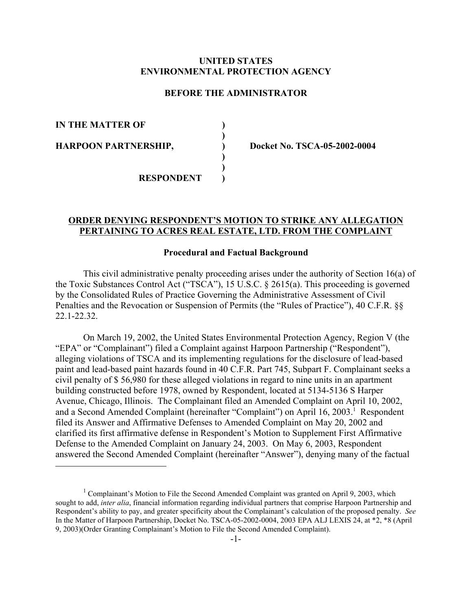# **UNITED STATES ENVIRONMENTAL PROTECTION AGENCY**

# **BEFORE THE ADMINISTRATOR**

**) )**

**) ) )**

**IN THE MATTER OF** 

**HARPOON PARTNERSHIP,** 

**) Docket No. TSCA-05-2002-0004**

**RESPONDENT** 

# **ORDER DENYING RESPONDENT'S MOTION TO STRIKE ANY ALLEGATION PERTAINING TO ACRES REAL ESTATE, LTD. FROM THE COMPLAINT**

## **Procedural and Factual Background**

This civil administrative penalty proceeding arises under the authority of Section 16(a) of the Toxic Substances Control Act ("TSCA"), 15 U.S.C. § 2615(a). This proceeding is governed by the Consolidated Rules of Practice Governing the Administrative Assessment of Civil Penalties and the Revocation or Suspension of Permits (the "Rules of Practice"), 40 C.F.R. §§ 22.1-22.32.

On March 19, 2002, the United States Environmental Protection Agency, Region V (the "EPA" or "Complainant") filed a Complaint against Harpoon Partnership ("Respondent"), alleging violations of TSCA and its implementing regulations for the disclosure of lead-based paint and lead-based paint hazards found in 40 C.F.R. Part 745, Subpart F. Complainant seeks a civil penalty of \$ 56,980 for these alleged violations in regard to nine units in an apartment building constructed before 1978, owned by Respondent, located at 5134-5136 S Harper Avenue, Chicago, Illinois. The Complainant filed an Amended Complaint on April 10, 2002, and a Second Amended Complaint (hereinafter "Complaint") on April 16, 2003.<sup>1</sup> Respondent filed its Answer and Affirmative Defenses to Amended Complaint on May 20, 2002 and clarified its first affirmative defense in Respondent's Motion to Supplement First Affirmative Defense to the Amended Complaint on January 24, 2003. On May 6, 2003, Respondent answered the Second Amended Complaint (hereinafter "Answer"), denying many of the factual

<sup>&</sup>lt;sup>1</sup> Complainant's Motion to File the Second Amended Complaint was granted on April 9, 2003, which sought to add, *inter alia*, financial information regarding individual partners that comprise Harpoon Partnership and Respondent's ability to pay, and greater specificity about the Complainant's calculation of the proposed penalty. *See*  In the Matter of Harpoon Partnership, Docket No. TSCA-05-2002-0004, 2003 EPA ALJ LEXIS 24, at \*2, \*8 (April 9, 2003)(Order Granting Complainant's Motion to File the Second Amended Complaint).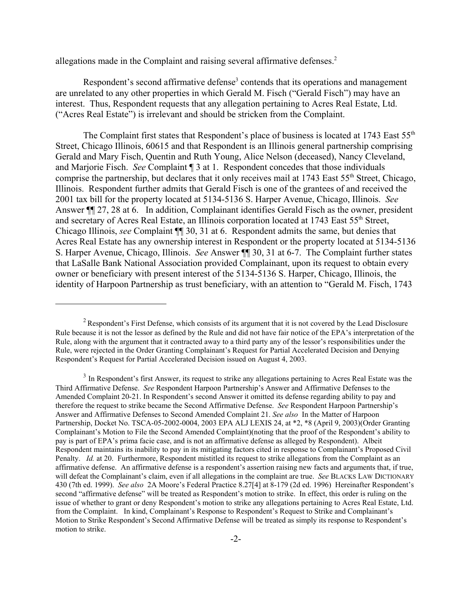allegations made in the Complaint and raising several affirmative defenses.<sup>2</sup>

Respondent's second affirmative defense<sup>3</sup> contends that its operations and management are unrelated to any other properties in which Gerald M. Fisch ("Gerald Fisch") may have an interest. Thus, Respondent requests that any allegation pertaining to Acres Real Estate, Ltd. ("Acres Real Estate") is irrelevant and should be stricken from the Complaint.

The Complaint first states that Respondent's place of business is located at 1743 East  $55<sup>th</sup>$ Street, Chicago Illinois, 60615 and that Respondent is an Illinois general partnership comprising Gerald and Mary Fisch, Quentin and Ruth Young, Alice Nelson (deceased), Nancy Cleveland, and Marjorie Fisch. *See* Complaint ¶ 3 at 1. Respondent concedes that those individuals comprise the partnership, but declares that it only receives mail at 1743 East 55<sup>th</sup> Street, Chicago, Illinois. Respondent further admits that Gerald Fisch is one of the grantees of and received the 2001 tax bill for the property located at 5134-5136 S. Harper Avenue, Chicago, Illinois. *See*  Answer ¶¶ 27, 28 at 6. In addition, Complainant identifies Gerald Fisch as the owner, president and secretary of Acres Real Estate, an Illinois corporation located at 1743 East 55<sup>th</sup> Street, Chicago Illinois, *see* Complaint ¶¶ 30, 31 at 6. Respondent admits the same, but denies that Acres Real Estate has any ownership interest in Respondent or the property located at 5134-5136 S. Harper Avenue, Chicago, Illinois. *See* Answer ¶¶ 30, 31 at 6-7. The Complaint further states that LaSalle Bank National Association provided Complainant, upon its request to obtain every owner or beneficiary with present interest of the 5134-5136 S. Harper, Chicago, Illinois, the identity of Harpoon Partnership as trust beneficiary, with an attention to "Gerald M. Fisch, 1743

<sup>&</sup>lt;sup>2</sup> Respondent's First Defense, which consists of its argument that it is not covered by the Lead Disclosure Rule because it is not the lessor as defined by the Rule and did not have fair notice of the EPA's interpretation of the Rule, along with the argument that it contracted away to a third party any of the lessor's responsibilities under the Rule, were rejected in the Order Granting Complainant's Request for Partial Accelerated Decision and Denying Respondent's Request for Partial Accelerated Decision issued on August 4, 2003.

<sup>&</sup>lt;sup>3</sup> In Respondent's first Answer, its request to strike any allegations pertaining to Acres Real Estate was the Third Affirmative Defense. *See* Respondent Harpoon Partnership's Answer and Affirmative Defenses to the Amended Complaint 20-21. In Respondent's second Answer it omitted its defense regarding ability to pay and therefore the request to strike became the Second Affirmative Defense. *See* Respondent Harpoon Partnership's Answer and Affirmative Defenses to Second Amended Complaint 21. *See also* In the Matter of Harpoon Partnership, Docket No. TSCA-05-2002-0004, 2003 EPA ALJ LEXIS 24, at \*2, \*8 (April 9, 2003)(Order Granting Complainant's Motion to File the Second Amended Complaint)(noting that the proof of the Respondent's ability to pay is part of EPA's prima facie case, and is not an affirmative defense as alleged by Respondent). Albeit Respondent maintains its inability to pay in its mitigating factors cited in response to Complainant's Proposed Civil Penalty. *Id.* at 20. Furthermore, Respondent mistitled its request to strike allegations from the Complaint as an affirmative defense. An affirmative defense is a respondent's assertion raising new facts and arguments that, if true, will defeat the Complainant's claim, even if all allegations in the complaint are true. *See* BLACKS LAW DICTIONARY 430 (7th ed. 1999). *See also* 2A Moore's Federal Practice 8.27[4] at 8-179 (2d ed. 1996) Hereinafter Respondent's second "affirmative defense" will be treated as Respondent's motion to strike. In effect, this order is ruling on the issue of whether to grant or deny Respondent's motion to strike any allegations pertaining to Acres Real Estate, Ltd. from the Complaint. In kind, Complainant's Response to Respondent's Request to Strike and Complainant's Motion to Strike Respondent's Second Affirmative Defense will be treated as simply its response to Respondent's motion to strike.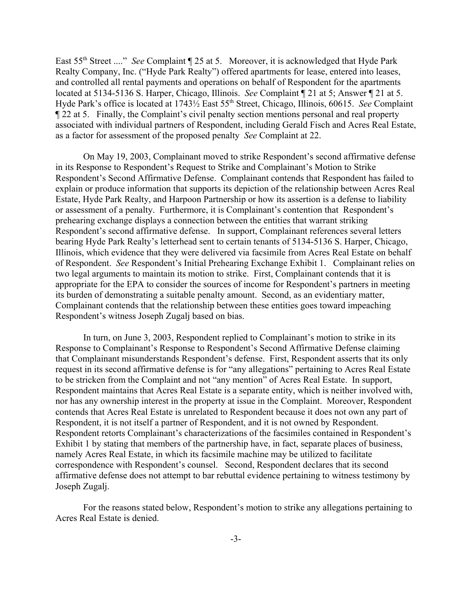East 55th Street ...." *See* Complaint ¶ 25 at 5. Moreover, it is acknowledged that Hyde Park Realty Company, Inc. ("Hyde Park Realty") offered apartments for lease, entered into leases, and controlled all rental payments and operations on behalf of Respondent for the apartments located at 5134-5136 S. Harper, Chicago, Illinois. *See* Complaint ¶ 21 at 5; Answer ¶ 21 at 5. Hyde Park's office is located at 1743½ East 55th Street, Chicago, Illinois, 60615. *See* Complaint ¶ 22 at 5. Finally, the Complaint's civil penalty section mentions personal and real property associated with individual partners of Respondent, including Gerald Fisch and Acres Real Estate, as a factor for assessment of the proposed penalty *See* Complaint at 22.

On May 19, 2003, Complainant moved to strike Respondent's second affirmative defense in its Response to Respondent's Request to Strike and Complainant's Motion to Strike Respondent's Second Affirmative Defense. Complainant contends that Respondent has failed to explain or produce information that supports its depiction of the relationship between Acres Real Estate, Hyde Park Realty, and Harpoon Partnership or how its assertion is a defense to liability or assessment of a penalty. Furthermore, it is Complainant's contention that Respondent's prehearing exchange displays a connection between the entities that warrant striking Respondent's second affirmative defense. In support, Complainant references several letters bearing Hyde Park Realty's letterhead sent to certain tenants of 5134-5136 S. Harper, Chicago, Illinois, which evidence that they were delivered via facsimile from Acres Real Estate on behalf of Respondent. *See* Respondent's Initial Prehearing Exchange Exhibit 1. Complainant relies on two legal arguments to maintain its motion to strike. First, Complainant contends that it is appropriate for the EPA to consider the sources of income for Respondent's partners in meeting its burden of demonstrating a suitable penalty amount. Second, as an evidentiary matter, Complainant contends that the relationship between these entities goes toward impeaching Respondent's witness Joseph Zugalj based on bias.

In turn, on June 3, 2003, Respondent replied to Complainant's motion to strike in its Response to Complainant's Response to Respondent's Second Affirmative Defense claiming that Complainant misunderstands Respondent's defense. First, Respondent asserts that its only request in its second affirmative defense is for "any allegations" pertaining to Acres Real Estate to be stricken from the Complaint and not "any mention" of Acres Real Estate. In support, Respondent maintains that Acres Real Estate is a separate entity, which is neither involved with, nor has any ownership interest in the property at issue in the Complaint. Moreover, Respondent contends that Acres Real Estate is unrelated to Respondent because it does not own any part of Respondent, it is not itself a partner of Respondent, and it is not owned by Respondent. Respondent retorts Complainant's characterizations of the facsimiles contained in Respondent's Exhibit 1 by stating that members of the partnership have, in fact, separate places of business, namely Acres Real Estate, in which its facsimile machine may be utilized to facilitate correspondence with Respondent's counsel. Second, Respondent declares that its second affirmative defense does not attempt to bar rebuttal evidence pertaining to witness testimony by Joseph Zugalj.

For the reasons stated below, Respondent's motion to strike any allegations pertaining to Acres Real Estate is denied.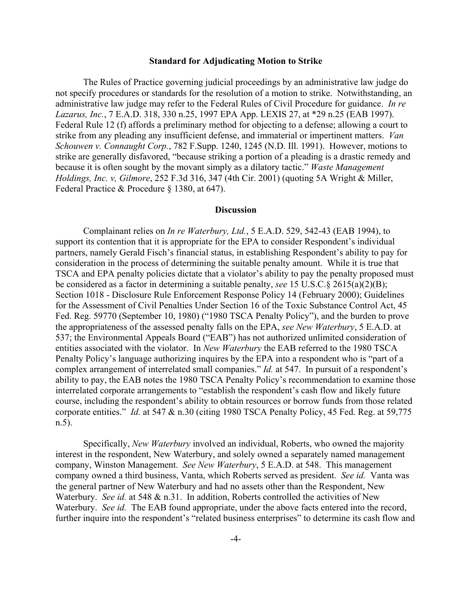## **Standard for Adjudicating Motion to Strike**

The Rules of Practice governing judicial proceedings by an administrative law judge do not specify procedures or standards for the resolution of a motion to strike. Notwithstanding, an administrative law judge may refer to the Federal Rules of Civil Procedure for guidance. *In re Lazarus, Inc.*, 7 E.A.D. 318, 330 n.25, 1997 EPA App. LEXIS 27, at \*29 n.25 (EAB 1997). Federal Rule 12 (f) affords a preliminary method for objecting to a defense; allowing a court to strike from any pleading any insufficient defense, and immaterial or impertinent matters. *Van Schouwen v. Connaught Corp.*, 782 F.Supp. 1240, 1245 (N.D. Ill. 1991). However, motions to strike are generally disfavored, "because striking a portion of a pleading is a drastic remedy and because it is often sought by the movant simply as a dilatory tactic." *Waste Management Holdings, Inc. v, Gilmore*, 252 F.3d 316, 347 (4th Cir. 2001) (quoting 5A Wright & Miller, Federal Practice & Procedure § 1380, at 647).

## **Discussion**

Complainant relies on *In re Waterbury, Ltd.*, 5 E.A.D. 529, 542-43 (EAB 1994), to support its contention that it is appropriate for the EPA to consider Respondent's individual partners, namely Gerald Fisch's financial status, in establishing Respondent's ability to pay for consideration in the process of determining the suitable penalty amount. While it is true that TSCA and EPA penalty policies dictate that a violator's ability to pay the penalty proposed must be considered as a factor in determining a suitable penalty, *see* 15 U.S.C.§ 2615(a)(2)(B); Section 1018 - Disclosure Rule Enforcement Response Policy 14 (February 2000); Guidelines for the Assessment of Civil Penalties Under Section 16 of the Toxic Substance Control Act, 45 Fed. Reg. 59770 (September 10, 1980) ("1980 TSCA Penalty Policy"), and the burden to prove the appropriateness of the assessed penalty falls on the EPA, *see New Waterbury*, 5 E.A.D. at 537; the Environmental Appeals Board ("EAB") has not authorized unlimited consideration of entities associated with the violator. In *New Waterbury* the EAB referred to the 1980 TSCA Penalty Policy's language authorizing inquires by the EPA into a respondent who is "part of a complex arrangement of interrelated small companies." *Id.* at 547. In pursuit of a respondent's ability to pay, the EAB notes the 1980 TSCA Penalty Policy's recommendation to examine those interrelated corporate arrangements to "establish the respondent's cash flow and likely future course, including the respondent's ability to obtain resources or borrow funds from those related corporate entities." *Id.* at 547 & n.30 (citing 1980 TSCA Penalty Policy, 45 Fed. Reg. at 59,775 n.5).

Specifically, *New Waterbury* involved an individual, Roberts, who owned the majority interest in the respondent, New Waterbury, and solely owned a separately named management company, Winston Management. *See New Waterbury*, 5 E.A.D. at 548. This management company owned a third business, Vanta, which Roberts served as president. *See id.* Vanta was the general partner of New Waterbury and had no assets other than the Respondent, New Waterbury. *See id.* at 548 & n.31. In addition, Roberts controlled the activities of New Waterbury. *See id.* The EAB found appropriate, under the above facts entered into the record, further inquire into the respondent's "related business enterprises" to determine its cash flow and